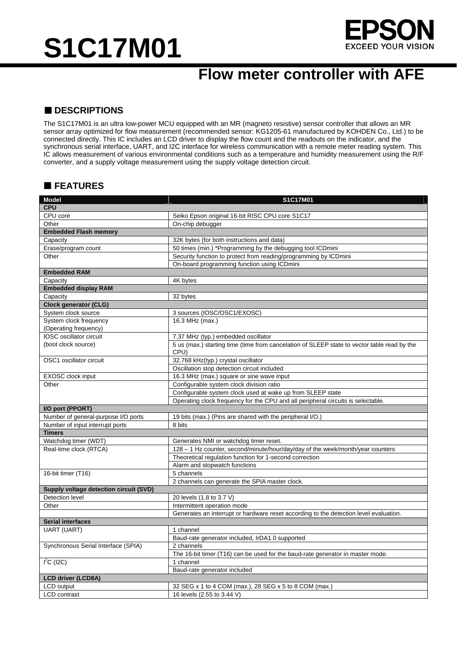# **S1C17M01**



### **Flow meter controller with AFE**

#### ■ **DESCRIPTIONS**

The S1C17M01 is an ultra low-power MCU equipped with an MR (magneto resistive) sensor controller that allows an MR sensor array optimized for flow measurement (recommended sensor: KG1205-61 manufactured by KOHDEN Co., Ltd.) to be connected directly. This IC includes an LCD driver to display the flow count and the readouts on the indicator, and the synchronous serial interface, UART, and I2C interface for wireless communication with a remote meter reading system. This IC allows measurement of various environmental conditions such as a temperature and humidity measurement using the R/F converter, and a supply voltage measurement using the supply voltage detection circuit.

#### **FEATURES**

| <b>Model</b>                           | S1C17M01                                                                                    |
|----------------------------------------|---------------------------------------------------------------------------------------------|
| CPU                                    |                                                                                             |
| CPU core                               | Seiko Epson original 16-bit RISC CPU core S1C17                                             |
| Other                                  | On-chip debugger                                                                            |
| <b>Embedded Flash memory</b>           |                                                                                             |
| Capacity                               | 32K bytes (for both instructions and data)                                                  |
| Erase/program count                    | 50 times (min.) *Programming by the debugging tool ICDmini                                  |
| Other                                  | Security function to protect from reading/programming by ICDmini                            |
|                                        | On-board programming function using ICDmini                                                 |
| <b>Embedded RAM</b>                    |                                                                                             |
| Capacity                               | 4K bytes                                                                                    |
| <b>Embedded display RAM</b>            |                                                                                             |
| Capacity                               | 32 bytes                                                                                    |
| <b>Clock generator (CLG)</b>           |                                                                                             |
| System clock source                    | 3 sources (IOSC/OSC1/EXOSC)                                                                 |
| System clock frequency                 | 16.3 MHz (max.)                                                                             |
| (Operating frequency)                  |                                                                                             |
| IOSC oscillator circuit                | 7.37 MHz (typ.) embedded oscillator                                                         |
| (boot clock source)                    | 5 us (max.) starting time (time from cancelation of SLEEP state to vector table read by the |
|                                        | CPU)                                                                                        |
| OSC1 oscillator circuit                | 32.768 kHz(typ.) crystal oscillator                                                         |
|                                        | Oscillation stop detection circuit included                                                 |
| EXOSC clock input                      | 16.3 MHz (max.) square or sine wave input                                                   |
| Other                                  | Configurable system clock division ratio                                                    |
|                                        | Configurable system clock used at wake up from SLEEP state                                  |
|                                        | Operating clock frequency for the CPU and all peripheral circuits is selectable.            |
| I/O port (PPORT)                       |                                                                                             |
| Number of general-purpose I/O ports    | 19 bits (max.) (Pins are shared with the peripheral I/O.)                                   |
| Number of input interrupt ports        | 8 bits                                                                                      |
| <b>Timers</b>                          |                                                                                             |
| Watchdog timer (WDT)                   | Generates NMI or watchdog timer reset.                                                      |
| Real-time clock (RTCA)                 | 128 - 1 Hz counter, second/minute/hour/day/day of the week/month/year counters              |
|                                        | Theoretical regulation function for 1-second correction                                     |
|                                        | Alarm and stopwatch functions                                                               |
| 16-bit timer (T16)                     | 5 channels                                                                                  |
|                                        | 2 channels can generate the SPIA master clock.                                              |
| Supply voltage detection circuit (SVD) |                                                                                             |
| Detection level                        | 20 levels (1.8 to 3.7 V)                                                                    |
| Other                                  | Intermittent operation mode                                                                 |
|                                        | Generates an interrupt or hardware reset according to the detection level evaluation.       |
| <b>Serial interfaces</b>               |                                                                                             |
| <b>UART (UART)</b>                     | 1 channel                                                                                   |
|                                        | Baud-rate generator included, IrDA1.0 supported                                             |
| Synchronous Serial Interface (SPIA)    | 2 channels                                                                                  |
|                                        | The 16-bit timer (T16) can be used for the baud-rate generator in master mode.              |
| $I^2C$ (I2C)                           | 1 channel                                                                                   |
|                                        | Baud-rate generator included                                                                |
| <b>LCD driver (LCD8A)</b>              |                                                                                             |
| LCD output                             | 32 SEG x 1 to 4 COM (max.), 28 SEG x 5 to 8 COM (max.)                                      |
| LCD contrast                           | 16 levels (2.55 to 3.44 V)                                                                  |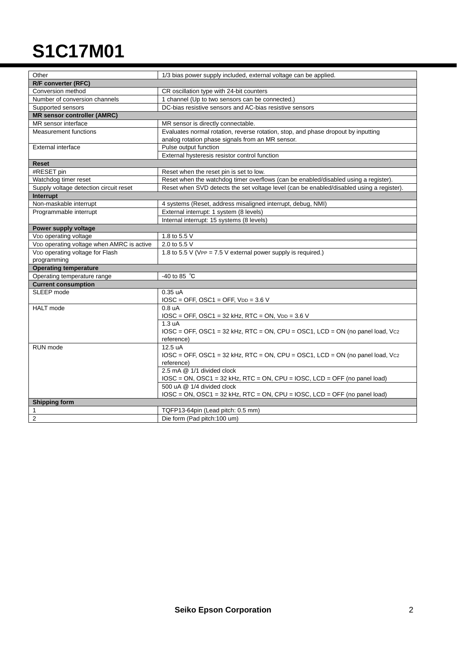## **S1C17M01**

| Other                                     | 1/3 bias power supply included, external voltage can be applied.                             |  |
|-------------------------------------------|----------------------------------------------------------------------------------------------|--|
| R/F converter (RFC)                       |                                                                                              |  |
| Conversion method                         | CR oscillation type with 24-bit counters                                                     |  |
| Number of conversion channels             | 1 channel (Up to two sensors can be connected.)                                              |  |
| Supported sensors                         | DC-bias resistive sensors and AC-bias resistive sensors                                      |  |
| <b>MR sensor controller (AMRC)</b>        |                                                                                              |  |
| MR sensor interface                       | MR sensor is directly connectable.                                                           |  |
| <b>Measurement functions</b>              | Evaluates normal rotation, reverse rotation, stop, and phase dropout by inputting            |  |
|                                           | analog rotation phase signals from an MR sensor.                                             |  |
| External interface                        | Pulse output function                                                                        |  |
|                                           | External hysteresis resistor control function                                                |  |
| <b>Reset</b>                              |                                                                                              |  |
| #RESET pin                                | Reset when the reset pin is set to low.                                                      |  |
| Watchdog timer reset                      | Reset when the watchdog timer overflows (can be enabled/disabled using a register).          |  |
| Supply voltage detection circuit reset    | Reset when SVD detects the set voltage level (can be enabled/disabled using a register).     |  |
| Interrupt                                 |                                                                                              |  |
| Non-maskable interrupt                    | 4 systems (Reset, address misaligned interrupt, debug, NMI)                                  |  |
| Programmable interrupt                    | External interrupt: 1 system (8 levels)                                                      |  |
|                                           | Internal interrupt: 15 systems (8 levels)                                                    |  |
| Power supply voltage                      |                                                                                              |  |
| VDD operating voltage                     | 1.8 to 5.5 V                                                                                 |  |
| VDD operating voltage when AMRC is active | 2.0 to 5.5 V                                                                                 |  |
| VDD operating voltage for Flash           | 1.8 to 5.5 V (VPP = $7.5$ V external power supply is required.)                              |  |
| programming                               |                                                                                              |  |
| <b>Operating temperature</b>              |                                                                                              |  |
| Operating temperature range               | -40 to 85 $^{\circ}$ C                                                                       |  |
| <b>Current consumption</b>                |                                                                                              |  |
| SLEEP mode                                | $0.35 \text{ uA}$                                                                            |  |
|                                           | $IOSC = OFF$ , $OSC1 = OFF$ , $VDD = 3.6 V$                                                  |  |
| <b>HALT</b> mode                          | 0.8 <sub>u</sub> A                                                                           |  |
|                                           | $IOSC = OFF$ , $OSC1 = 32$ kHz, RTC = ON, $VDD = 3.6$ V                                      |  |
|                                           | 1.3 uA                                                                                       |  |
|                                           | $IOSC = OFF$ , $OSC1 = 32$ kHz, $RTC = ON$ , $CPU = OSC1$ , $LCD = ON$ (no panel load, $Vcz$ |  |
|                                           | reference)                                                                                   |  |
| RUN mode                                  | 12.5 uA                                                                                      |  |
|                                           | $IOSC = OFF$ , $OSC1 = 32$ kHz, $RTC = ON$ , $CPU = OSC1$ , $LCD = ON$ (no panel load, $Vcz$ |  |
|                                           | reference)                                                                                   |  |
|                                           | 2.5 mA @ 1/1 divided clock                                                                   |  |
|                                           | $IOSC = ON$ , $OSC1 = 32$ kHz, RTC = ON, CPU = IOSC, LCD = OFF (no panel load)               |  |
|                                           | 500 uA @ 1/4 divided clock                                                                   |  |
|                                           | $IOSC = ON$ , $OSC1 = 32$ kHz, RTC = ON, CPU = IOSC, LCD = OFF (no panel load)               |  |
| <b>Shipping form</b>                      |                                                                                              |  |
| 1                                         | TQFP13-64pin (Lead pitch: 0.5 mm)                                                            |  |
| $\overline{2}$                            | Die form (Pad pitch:100 um)                                                                  |  |